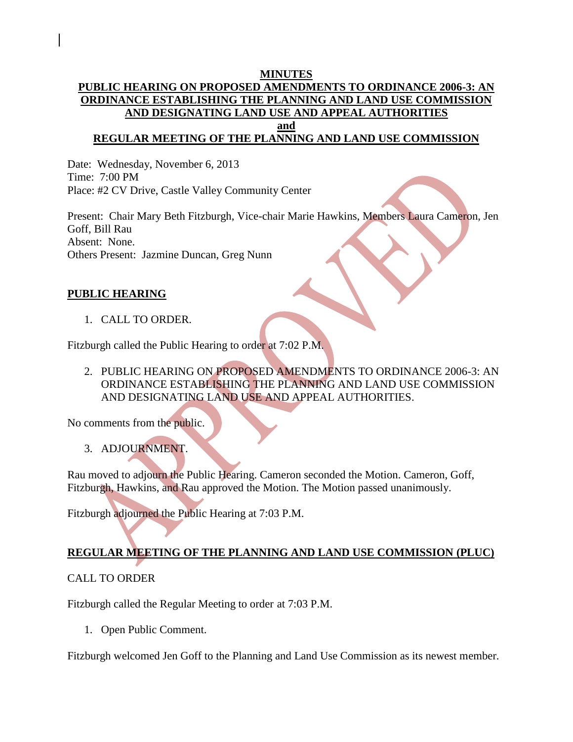#### **MINUTES PUBLIC HEARING ON PROPOSED AMENDMENTS TO ORDINANCE 2006-3: AN ORDINANCE ESTABLISHING THE PLANNING AND LAND USE COMMISSION AND DESIGNATING LAND USE AND APPEAL AUTHORITIES and**

# **REGULAR MEETING OF THE PLANNING AND LAND USE COMMISSION**

Date: Wednesday, November 6, 2013 Time: 7:00 PM Place: #2 CV Drive, Castle Valley Community Center

Present: Chair Mary Beth Fitzburgh, Vice-chair Marie Hawkins, Members Laura Cameron, Jen Goff, Bill Rau Absent: None. Others Present: Jazmine Duncan, Greg Nunn

#### **PUBLIC HEARING**

1. CALL TO ORDER.

Fitzburgh called the Public Hearing to order at 7:02 P.M.

2. PUBLIC HEARING ON PROPOSED AMENDMENTS TO ORDINANCE 2006-3: AN ORDINANCE ESTABLISHING THE PLANNING AND LAND USE COMMISSION AND DESIGNATING LAND USE AND APPEAL AUTHORITIES.

No comments from the public.

3. ADJOURNMENT.

Rau moved to adjourn the Public Hearing. Cameron seconded the Motion. Cameron, Goff, Fitzburgh, Hawkins, and Rau approved the Motion. The Motion passed unanimously.

Fitzburgh adjourned the Public Hearing at 7:03 P.M.

### **REGULAR MEETING OF THE PLANNING AND LAND USE COMMISSION (PLUC)**

### CALL TO ORDER

Fitzburgh called the Regular Meeting to order at 7:03 P.M.

1. Open Public Comment.

Fitzburgh welcomed Jen Goff to the Planning and Land Use Commission as its newest member.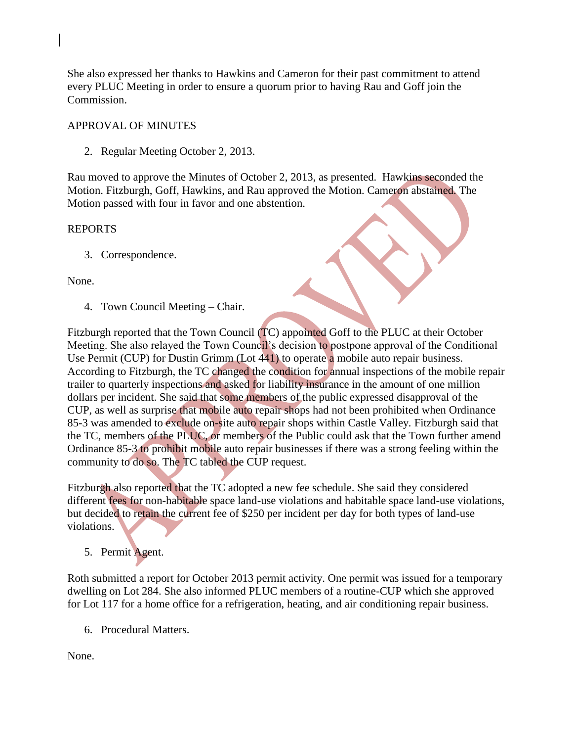She also expressed her thanks to Hawkins and Cameron for their past commitment to attend every PLUC Meeting in order to ensure a quorum prior to having Rau and Goff join the Commission.

## APPROVAL OF MINUTES

2. Regular Meeting October 2, 2013.

Rau moved to approve the Minutes of October 2, 2013, as presented. Hawkins seconded the Motion. Fitzburgh, Goff, Hawkins, and Rau approved the Motion. Cameron abstained. The Motion passed with four in favor and one abstention.

## REPORTS

3. Correspondence.

None.

4. Town Council Meeting – Chair.

Fitzburgh reported that the Town Council (TC) appointed Goff to the PLUC at their October Meeting. She also relayed the Town Council's decision to postpone approval of the Conditional Use Permit (CUP) for Dustin Grimm (Lot 441) to operate a mobile auto repair business. According to Fitzburgh, the TC changed the condition for annual inspections of the mobile repair trailer to quarterly inspections and asked for liability insurance in the amount of one million dollars per incident. She said that some members of the public expressed disapproval of the CUP, as well as surprise that mobile auto repair shops had not been prohibited when Ordinance 85-3 was amended to exclude on-site auto repair shops within Castle Valley. Fitzburgh said that the TC, members of the PLUC, or members of the Public could ask that the Town further amend Ordinance 85-3 to prohibit mobile auto repair businesses if there was a strong feeling within the community to do so. The TC tabled the CUP request.

Fitzburgh also reported that the TC adopted a new fee schedule. She said they considered different fees for non-habitable space land-use violations and habitable space land-use violations, but decided to retain the current fee of \$250 per incident per day for both types of land-use violations.

5. Permit Agent.

Roth submitted a report for October 2013 permit activity. One permit was issued for a temporary dwelling on Lot 284. She also informed PLUC members of a routine-CUP which she approved for Lot 117 for a home office for a refrigeration, heating, and air conditioning repair business.

6. Procedural Matters.

None.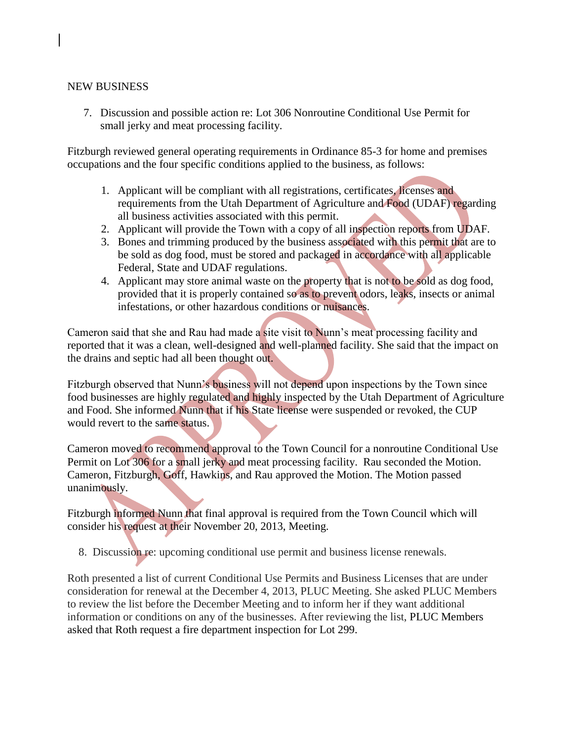#### NEW BUSINESS

7. Discussion and possible action re: Lot 306 Nonroutine Conditional Use Permit for small jerky and meat processing facility.

Fitzburgh reviewed general operating requirements in Ordinance 85-3 for home and premises occupations and the four specific conditions applied to the business, as follows:

- 1. Applicant will be compliant with all registrations, certificates, licenses and requirements from the Utah Department of Agriculture and Food (UDAF) regarding all business activities associated with this permit.
- 2. Applicant will provide the Town with a copy of all inspection reports from UDAF.
- 3. Bones and trimming produced by the business associated with this permit that are to be sold as dog food, must be stored and packaged in accordance with all applicable Federal, State and UDAF regulations.
- 4. Applicant may store animal waste on the property that is not to be sold as dog food, provided that it is properly contained so as to prevent odors, leaks, insects or animal infestations, or other hazardous conditions or nuisances.

Cameron said that she and Rau had made a site visit to Nunn's meat processing facility and reported that it was a clean, well-designed and well-planned facility. She said that the impact on the drains and septic had all been thought out.

Fitzburgh observed that Nunn's business will not depend upon inspections by the Town since food businesses are highly regulated and highly inspected by the Utah Department of Agriculture and Food. She informed Nunn that if his State license were suspended or revoked, the CUP would revert to the same status.

Cameron moved to recommend approval to the Town Council for a nonroutine Conditional Use Permit on Lot 306 for a small jerky and meat processing facility. Rau seconded the Motion. Cameron, Fitzburgh, Goff, Hawkins, and Rau approved the Motion. The Motion passed unanimously.

Fitzburgh informed Nunn that final approval is required from the Town Council which will consider his request at their November 20, 2013, Meeting.

8. Discussion re: upcoming conditional use permit and business license renewals.

Roth presented a list of current Conditional Use Permits and Business Licenses that are under consideration for renewal at the December 4, 2013, PLUC Meeting. She asked PLUC Members to review the list before the December Meeting and to inform her if they want additional information or conditions on any of the businesses. After reviewing the list, PLUC Members asked that Roth request a fire department inspection for Lot 299.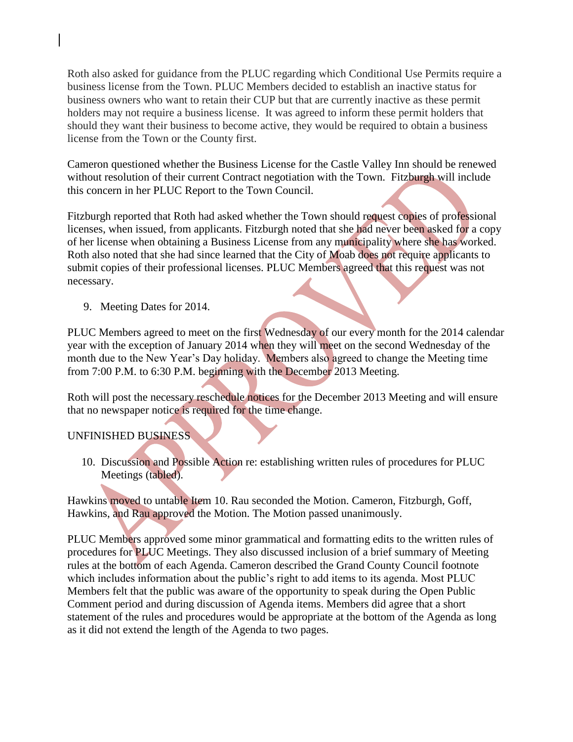Roth also asked for guidance from the PLUC regarding which Conditional Use Permits require a business license from the Town. PLUC Members decided to establish an inactive status for business owners who want to retain their CUP but that are currently inactive as these permit holders may not require a business license. It was agreed to inform these permit holders that should they want their business to become active, they would be required to obtain a business license from the Town or the County first.

Cameron questioned whether the Business License for the Castle Valley Inn should be renewed without resolution of their current Contract negotiation with the Town. Fitzburgh will include this concern in her PLUC Report to the Town Council.

Fitzburgh reported that Roth had asked whether the Town should request copies of professional licenses, when issued, from applicants. Fitzburgh noted that she had never been asked for a copy of her license when obtaining a Business License from any municipality where she has worked. Roth also noted that she had since learned that the City of Moab does not require applicants to submit copies of their professional licenses. PLUC Members agreed that this request was not necessary.

9. Meeting Dates for 2014.

PLUC Members agreed to meet on the first Wednesday of our every month for the 2014 calendar year with the exception of January 2014 when they will meet on the second Wednesday of the month due to the New Year's Day holiday. Members also agreed to change the Meeting time from 7:00 P.M. to 6:30 P.M. beginning with the December 2013 Meeting.

Roth will post the necessary reschedule notices for the December 2013 Meeting and will ensure that no newspaper notice is required for the time change.

# UNFINISHED BUSINESS

 10. Discussion and Possible Action re: establishing written rules of procedures for PLUC Meetings (tabled).

Hawkins moved to untable Item 10. Rau seconded the Motion. Cameron, Fitzburgh, Goff, Hawkins, and Rau approved the Motion. The Motion passed unanimously.

PLUC Members approved some minor grammatical and formatting edits to the written rules of procedures for PLUC Meetings. They also discussed inclusion of a brief summary of Meeting rules at the bottom of each Agenda. Cameron described the Grand County Council footnote which includes information about the public's right to add items to its agenda. Most PLUC Members felt that the public was aware of the opportunity to speak during the Open Public Comment period and during discussion of Agenda items. Members did agree that a short statement of the rules and procedures would be appropriate at the bottom of the Agenda as long as it did not extend the length of the Agenda to two pages.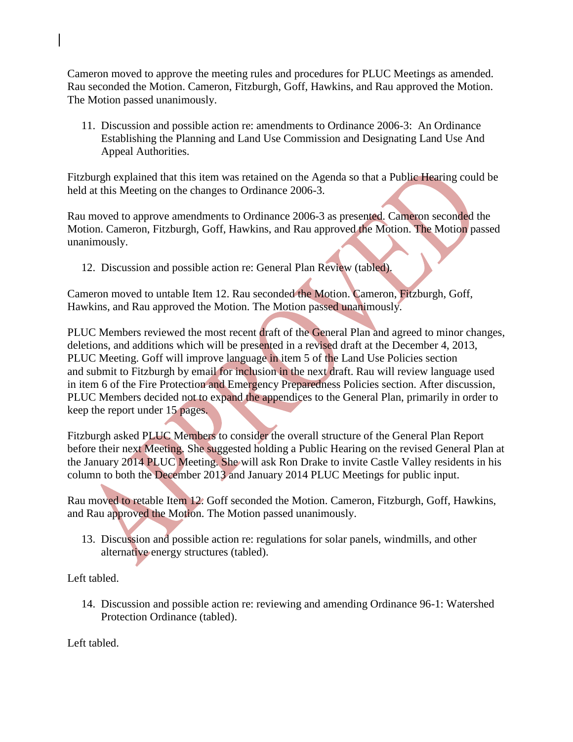Cameron moved to approve the meeting rules and procedures for PLUC Meetings as amended. Rau seconded the Motion. Cameron, Fitzburgh, Goff, Hawkins, and Rau approved the Motion. The Motion passed unanimously.

 11. Discussion and possible action re: amendments to Ordinance 2006-3: An Ordinance Establishing the Planning and Land Use Commission and Designating Land Use And Appeal Authorities.

Fitzburgh explained that this item was retained on the Agenda so that a Public Hearing could be held at this Meeting on the changes to Ordinance 2006-3.

Rau moved to approve amendments to Ordinance 2006-3 as presented. Cameron seconded the Motion. Cameron, Fitzburgh, Goff, Hawkins, and Rau approved the Motion. The Motion passed unanimously.

12. Discussion and possible action re: General Plan Review (tabled).

Cameron moved to untable Item 12. Rau seconded the Motion. Cameron, Fitzburgh, Goff, Hawkins, and Rau approved the Motion. The Motion passed unanimously.

PLUC Members reviewed the most recent draft of the General Plan and agreed to minor changes, deletions, and additions which will be presented in a revised draft at the December 4, 2013, PLUC Meeting. Goff will improve language in item 5 of the Land Use Policies section and submit to Fitzburgh by email for inclusion in the next draft. Rau will review language used in item 6 of the Fire Protection and Emergency Preparedness Policies section. After discussion, PLUC Members decided not to expand the appendices to the General Plan, primarily in order to keep the report under 15 pages.

Fitzburgh asked PLUC Members to consider the overall structure of the General Plan Report before their next Meeting. She suggested holding a Public Hearing on the revised General Plan at the January 2014 PLUC Meeting. She will ask Ron Drake to invite Castle Valley residents in his column to both the December 2013 and January 2014 PLUC Meetings for public input.

Rau moved to retable Item 12. Goff seconded the Motion. Cameron, Fitzburgh, Goff, Hawkins, and Rau approved the Motion. The Motion passed unanimously.

 13. Discussion and possible action re: regulations for solar panels, windmills, and other alternative energy structures (tabled).

Left tabled.

 14. Discussion and possible action re: reviewing and amending Ordinance 96-1: Watershed Protection Ordinance (tabled).

Left tabled.